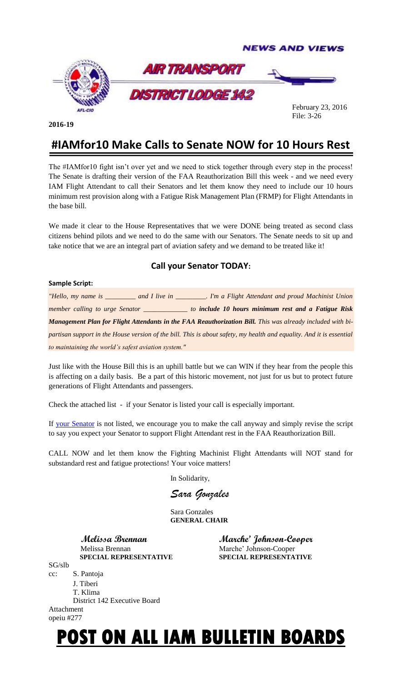

**2016-19**

 February 23, 2016 File: 3-26

## **#IAMfor10 Make Calls to Senate NOW for 10 Hours Rest**

The #IAMfor10 fight isn't over yet and we need to stick together through every step in the process! The Senate is drafting their version of the FAA Reauthorization Bill this week - and we need every IAM Flight Attendant to call their Senators and let them know they need to include our 10 hours minimum rest provision along with a Fatigue Risk Management Plan (FRMP) for Flight Attendants in the base bill.

We made it clear to the House Representatives that we were DONE being treated as second class citizens behind pilots and we need to do the same with our Senators. The Senate needs to sit up and take notice that we are an integral part of aviation safety and we demand to be treated like it!

### **Call your Senator TODAY:**

#### **Sample Script:**

*"Hello, my name is \_\_\_\_\_\_\_\_\_ and I live in \_\_\_\_\_\_\_\_\_. I'm a Flight Attendant and proud Machinist Union member calling to urge Senator \_\_\_\_\_\_\_\_\_\_\_\_\_ to include 10 hours minimum rest and a Fatigue Risk*  **Management Plan for Flight Attendants in the FAA Reauthorization Bill.** This was already included with bi*partisan support in the House version of the bill. This is about safety, my health and equality. And it is essential to maintaining the world's safest aviation system."*

Just like with the House Bill this is an uphill battle but we can WIN if they hear from the people this is affecting on a daily basis. Be a part of this historic movement, not just for us but to protect future generations of Flight Attendants and passengers.

Check the attached list - if your Senator is listed your call is especially important.

If [your Senator](http://link.afacwa.org/wf/click?upn=YodEXz27bje9TZ8Ifpz7nCCSLX00BwYxS-2F3Wx26XCGI-3D_TNXoN28B5m2MmHQd1JRcdb3UaAWE3or0SABBrdkC-2FgqZSVFKVAfdEZY3nzYH-2FvpqHnNA6BFTOB27OqQC7gTRoncTgFBIdBwim2ip1S7hLTdGEF-2FM18WlWWndTgCXN47hzbBH0A4DLDCaM4vNa76WmJhCxwAX6ql8A4tojMpCXibZ2u92zRapYbAtAAnLTNAFoJHUdObGkmQU4fEgOGFH1Q-3D-3D#_blank) is not listed, we encourage you to make the call anyway and simply revise the script to say you expect your Senator to support Flight Attendant rest in the FAA Reauthorization Bill.

CALL NOW and let them know the Fighting Machinist Flight Attendants will NOT stand for substandard rest and fatigue protections! Your voice matters!

In Solidarity,

*Sara Gonzales* 

Sara Gonzales **GENERAL CHAIR**

Melissa Brennan Marche' Johnson-Cooper  **SPECIAL REPRESENTATIVE SPECIAL REPRESENTATIVE**

 **Melissa Brennan Marche' Johnson-Cooper**

#### SG/slb cc: S. Pantoja J. Tiberi T. Klima District 142 Executive Board Attachment opeiu #277

# **POST ON ALL IAM BULLETIN BOARDS**